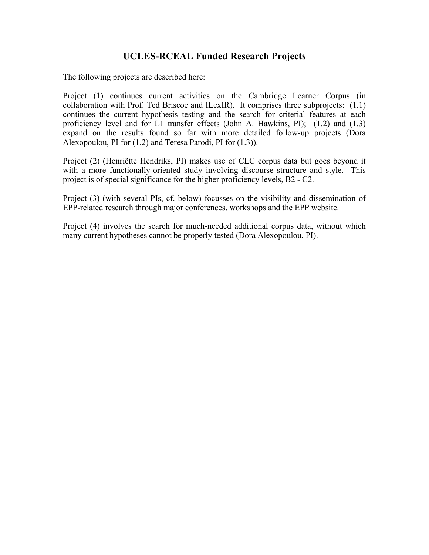# **UCLES-RCEAL Funded Research Projects**

The following projects are described here:

Project (1) continues current activities on the Cambridge Learner Corpus (in collaboration with Prof. Ted Briscoe and ILexIR). It comprises three subprojects: (1.1) continues the current hypothesis testing and the search for criterial features at each proficiency level and for L1 transfer effects (John A. Hawkins, PI); (1.2) and (1.3) expand on the results found so far with more detailed follow-up projects (Dora Alexopoulou, PI for (1.2) and Teresa Parodi, PI for (1.3)).

Project (2) (Henriёtte Hendriks, PI) makes use of CLC corpus data but goes beyond it with a more functionally-oriented study involving discourse structure and style. This project is of special significance for the higher proficiency levels, B2 - C2.

Project (3) (with several PIs, cf. below) focusses on the visibility and dissemination of EPP-related research through major conferences, workshops and the EPP website.

Project (4) involves the search for much-needed additional corpus data, without which many current hypotheses cannot be properly tested (Dora Alexopoulou, PI).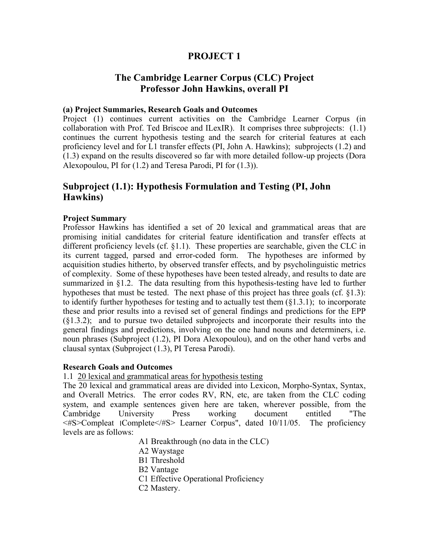# **PROJECT 1**

# **The Cambridge Learner Corpus (CLC) Project Professor John Hawkins, overall PI**

### **(a) Project Summaries, Research Goals and Outcomes**

Project (1) continues current activities on the Cambridge Learner Corpus (in collaboration with Prof. Ted Briscoe and ILexIR). It comprises three subprojects: (1.1) continues the current hypothesis testing and the search for criterial features at each proficiency level and for L1 transfer effects (PI, John A. Hawkins); subprojects (1.2) and (1.3) expand on the results discovered so far with more detailed follow-up projects (Dora Alexopoulou, PI for (1.2) and Teresa Parodi, PI for (1.3)).

# **Subproject (1.1): Hypothesis Formulation and Testing (PI, John Hawkins)**

### **Project Summary**

Professor Hawkins has identified a set of 20 lexical and grammatical areas that are promising initial candidates for criterial feature identification and transfer effects at different proficiency levels (cf.  $\S1.1$ ). These properties are searchable, given the CLC in its current tagged, parsed and error-coded form. The hypotheses are informed by acquisition studies hitherto, by observed transfer effects, and by psycholinguistic metrics of complexity. Some of these hypotheses have been tested already, and results to date are summarized in  $\S$ 1.2. The data resulting from this hypothesis-testing have led to further hypotheses that must be tested. The next phase of this project has three goals (cf. §1.3): to identify further hypotheses for testing and to actually test them  $(\S1.3.1)$ ; to incorporate these and prior results into a revised set of general findings and predictions for the EPP (§1.3.2); and to pursue two detailed subprojects and incorporate their results into the general findings and predictions, involving on the one hand nouns and determiners, i.e. noun phrases (Subproject (1.2), PI Dora Alexopoulou), and on the other hand verbs and clausal syntax (Subproject (1.3), PI Teresa Parodi).

### **Research Goals and Outcomes**

1.1 20 lexical and grammatical areas for hypothesis testing

The 20 lexical and grammatical areas are divided into Lexicon, Morpho-Syntax, Syntax, and Overall Metrics. The error codes RV, RN, etc, are taken from the CLC coding system, and example sentences given here are taken, wherever possible, from the Cambridge University Press working document entitled "The <#S>Compleat ׀Complete</#S> Learner Corpus", dated 10/11/05. The proficiency levels are as follows:

A1 Breakthrough (no data in the CLC)

- A2 Waystage
- B1 Threshold
- B2 Vantage
- C1 Effective Operational Proficiency
- C2 Mastery.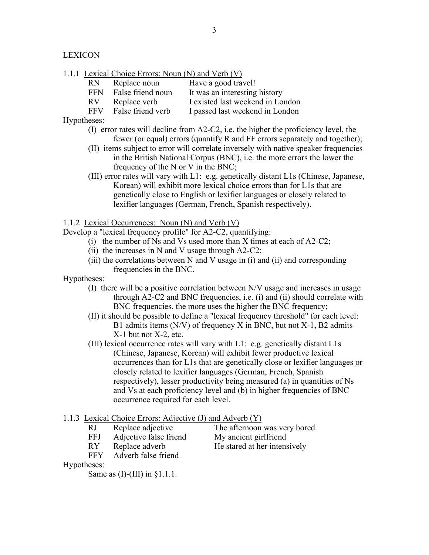**LEXICON** 

1.1.1 Lexical Choice Errors: Noun (N) and Verb (V)

| RN | Replace noun    | Have a good travel!              |
|----|-----------------|----------------------------------|
|    | $PPM = P-1 - P$ | - It ----- - - int-s--time 1.i-t |

| FFN False friend noun | It was an interesting history |
|-----------------------|-------------------------------|
| $\mathbf{N}$          |                               |

RV Replace verb I existed last weekend in London

FFV False friend verb I passed last weekend in London

Hypotheses:

- (I) error rates will decline from A2-C2, i.e. the higher the proficiency level, the fewer (or equal) errors (quantify R and FF errors separately and together);
- (II) items subject to error will correlate inversely with native speaker frequencies in the British National Corpus (BNC), i.e. the more errors the lower the frequency of the N or V in the BNC;
- (III) error rates will vary with L1: e.g. genetically distant L1s (Chinese, Japanese, Korean) will exhibit more lexical choice errors than for L1s that are genetically close to English or lexifier languages or closely related to lexifier languages (German, French, Spanish respectively).

### 1.1.2 Lexical Occurrences: Noun (N) and Verb (V)

Develop a "lexical frequency profile" for A2-C2, quantifying:

- (i) the number of Ns and Vs used more than X times at each of A2-C2;
- (ii) the increases in N and V usage through  $A2-C2$ ;
- (iii) the correlations between N and V usage in (i) and (ii) and corresponding frequencies in the BNC.

Hypotheses:

- (I) there will be a positive correlation between N/V usage and increases in usage through A2-C2 and BNC frequencies, i.e. (i) and (ii) should correlate with BNC frequencies, the more uses the higher the BNC frequency;
- (II) it should be possible to define a "lexical frequency threshold" for each level: B1 admits items (N/V) of frequency X in BNC, but not X-1, B2 admits X-1 but not X-2, etc.
- (III) lexical occurrence rates will vary with L1: e.g. genetically distant L1s (Chinese, Japanese, Korean) will exhibit fewer productive lexical occurrences than for L1s that are genetically close or lexifier languages or closely related to lexifier languages (German, French, Spanish respectively), lesser productivity being measured (a) in quantities of Ns and Vs at each proficiency level and (b) in higher frequencies of BNC occurrence required for each level.

### 1.1.3 Lexical Choice Errors: Adjective (J) and Adverb (Y)

RJ Replace adjective The afternoon was very bored

FFJ Adjective false friend My ancient girlfriend

RY Replace adverb He stared at her intensively

FFY Adverb false friend

Hypotheses:

Same as  $(I)$ - $(III)$  in  $§1.1.1$ .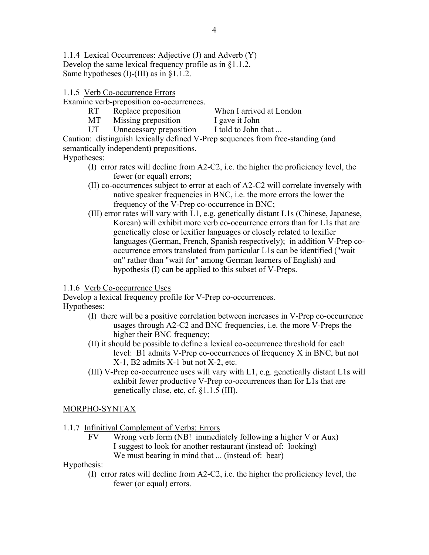1.1.4 Lexical Occurrences: Adjective (J) and Adverb (Y) Develop the same lexical frequency profile as in §1.1.2. Same hypotheses (I)-(III) as in §1.1.2.

## 1.1.5 Verb Co-occurrence Errors

Examine verb-preposition co-occurrences.

- RT Replace preposition When I arrived at London
- MT Missing preposition I gave it John
- -
- UT Unnecessary preposition I told to John that ...

Caution: distinguish lexically defined V-Prep sequences from free-standing (and semantically independent) prepositions.

## Hypotheses:

- (I) error rates will decline from A2-C2, i.e. the higher the proficiency level, the fewer (or equal) errors;
- (II) co-occurrences subject to error at each of A2-C2 will correlate inversely with native speaker frequencies in BNC, i.e. the more errors the lower the frequency of the V-Prep co-occurrence in BNC;
- (III) error rates will vary with L1, e.g. genetically distant L1s (Chinese, Japanese, Korean) will exhibit more verb co-occurrence errors than for L1s that are genetically close or lexifier languages or closely related to lexifier languages (German, French, Spanish respectively); in addition V-Prep co occurrence errors translated from particular L1s can be identified ("wait on" rather than "wait for" among German learners of English) and hypothesis (I) can be applied to this subset of V-Preps.

1.1.6 Verb Co-occurrence Uses

Develop a lexical frequency profile for V-Prep co-occurrences. Hypotheses:

- (I) there will be a positive correlation between increases in V-Prep co-occurrence usages through A2-C2 and BNC frequencies, i.e. the more V-Preps the higher their BNC frequency;
- (II) it should be possible to define a lexical co-occurrence threshold for each level: B1 admits V-Prep co-occurrences of frequency X in BNC, but not X-1, B2 admits X-1 but not X-2, etc.
- (III) V-Prep co-occurrence uses will vary with L1, e.g. genetically distant L1s will exhibit fewer productive V-Prep co-occurrences than for L1s that are genetically close, etc, cf. §1.1.5 (III).

## MORPHO-SYNTAX

- 1.1.7 Infinitival Complement of Verbs: Errors
	- FV Wrong verb form (NB! immediately following a higher V or Aux) I suggest to look for another restaurant (instead of: looking) We must bearing in mind that ... (instead of: bear)

Hypothesis:

 (I) error rates will decline from A2-C2, i.e. the higher the proficiency level, the fewer (or equal) errors.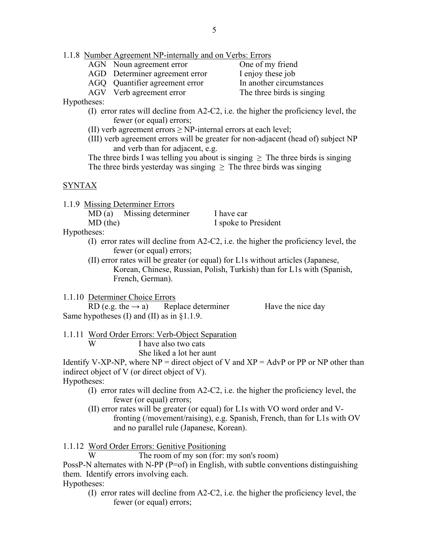## 1.1.8 Number Agreement NP-internally and on Verbs: Errors

- AGN Noun agreement error One of my friend
- AGD Determiner agreement error I enjoy these job
- AGQ Quantifier agreement error In another circumstances

AGV Verb agreement error The three birds is singing

## Hypotheses:

- (I) error rates will decline from A2-C2, i.e. the higher the proficiency level, the fewer (or equal) errors;
- (II) verb agreement errors  $\geq$  NP-internal errors at each level;
- (III) verb agreement errors will be greater for non-adjacent (head of) subject NP and verb than for adjacent, e.g.

The three birds I was telling you about is singing  $\geq$  The three birds is singing The three birds yesterday was singing  $\geq$  The three birds was singing

# SYNTAX

1.1.9 Missing Determiner Errors

MD (a) Missing determiner I have car MD (the) I spoke to President

Hypotheses:

- (I) error rates will decline from A2-C2, i.e. the higher the proficiency level, the fewer (or equal) errors;
- (II) error rates will be greater (or equal) for L1s without articles (Japanese, Korean, Chinese, Russian, Polish, Turkish) than for L1s with (Spanish, French, German).

1.1.10 Determiner Choice Errors

RD (e.g. the  $\rightarrow$  a) Replace determiner Have the nice day Same hypotheses (I) and (II) as in §1.1.9.

1.1.11 Word Order Errors: Verb-Object Separation W I have also two cats

She liked a lot her aunt

Identify V-XP-NP, where  $NP =$  direct object of V and  $XP =$  AdvP or PP or NP other than indirect object of V (or direct object of V).

## Hypotheses:

- (I) error rates will decline from A2-C2, i.e. the higher the proficiency level, the fewer (or equal) errors;
- (II) error rates will be greater (or equal) for L1s with VO word order and V fronting (/movement/raising), e.g. Spanish, French, than for L1s with OV and no parallel rule (Japanese, Korean).

1.1.12 Word Order Errors: Genitive Positioning

The room of my son (for: my son's room)

PossP-N alternates with N-PP (P=of) in English, with subtle conventions distinguishing them. Identify errors involving each.

Hypotheses:

 (I) error rates will decline from A2-C2, i.e. the higher the proficiency level, the fewer (or equal) errors;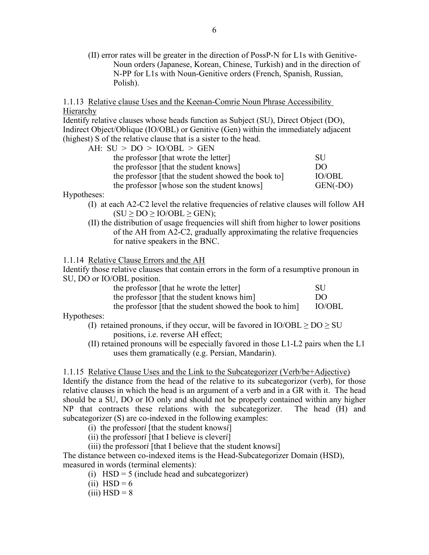(II) error rates will be greater in the direction of PossP-N for L1s with Genitive- Noun orders (Japanese, Korean, Chinese, Turkish) and in the direction of N-PP for L1s with Noun-Genitive orders (French, Spanish, Russian, Polish).

1.1.13 Relative clause Uses and the Keenan-Comrie Noun Phrase Accessibility Hierarchy

Identify relative clauses whose heads function as Subject (SU), Direct Object (DO), Indirect Object/Oblique (IO/OBL) or Genitive (Gen) within the immediately adjacent (highest) S of the relative clause that is a sister to the head.

| AH: $SU > DO > IO/OBL > GEN$                        |               |
|-----------------------------------------------------|---------------|
| the professor [that wrote the letter]               | -SU           |
| the professor [that the student knows]              | DO            |
| the professor [that the student showed the book to] | <b>IO/OBL</b> |
| the professor [whose son the student knows]         | GEN(-DO)      |
|                                                     |               |

Hypotheses:

- (I) at each A2-C2 level the relative frequencies of relative clauses will follow AH  $(SU > DO > IO/OBL > GEN);$
- (II) the distribution of usage frequencies will shift from higher to lower positions of the AH from A2-C2, gradually approximating the relative frequencies for native speakers in the BNC.

1.1.14 Relative Clause Errors and the AH

Identify those relative clauses that contain errors in the form of a resumptive pronoun in SU, DO or IO/OBL position.

| the professor [that he wrote the letter]                | SU     |
|---------------------------------------------------------|--------|
| the professor [that the student knows him]              | DO     |
| the professor [that the student showed the book to him] | IO/OBL |

Hypotheses:

- (I) retained pronouns, if they occur, will be favored in  $IO/OBL \geq DO \geq SU$ positions, i.e. reverse AH effect;
- (II) retained pronouns will be especially favored in those L1-L2 pairs when the L1 uses them gramatically (e.g. Persian, Mandarin).

1.1.15 Relative Clause Uses and the Link to the Subcategorizer (Verb/be+Adjective)

Identify the distance from the head of the relative to its subcategorizor (verb), for those relative clauses in which the head is an argument of a verb and in a GR with it. The head should be a SU, DO or IO only and should not be properly contained within any higher NP that contracts these relations with the subcategorizer. The head (H) and subcategorizer (S) are co-indexed in the following examples:

- (i) the professor*i* [that the student knows*i*]
- (ii) the professor*i* [that I believe is clever*i*]
- (iii) the professor*i* [that I believe that the student knows*i*]

The distance between co-indexed items is the Head-Subcategorizer Domain (HSD), measured in words (terminal elements):

- (i)  $HSD = 5$  (include head and subcategorizer)
- (ii) HSD =  $6$
- $(iii)$  HSD = 8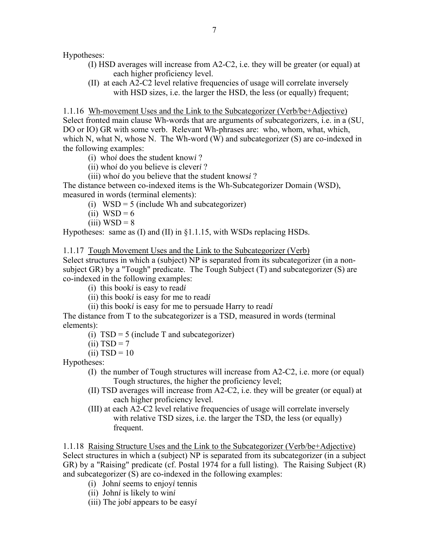Hypotheses:

- (I) HSD averages will increase from A2-C2, i.e. they will be greater (or equal) at each higher proficiency level.
- (II) at each A2-C2 level relative frequencies of usage will correlate inversely with HSD sizes, i.e. the larger the HSD, the less (or equally) frequent;

1.1.16 Wh-movement Uses and the Link to the Subcategorizer (Verb/be+Adjective) Select fronted main clause Wh-words that are arguments of subcategorizers, i.e. in a (SU, DO or IO) GR with some verb. Relevant Wh-phrases are: who, whom, what, which, which N, what N, whose N. The Wh-word (W) and subcategorizer (S) are co-indexed in the following examples:

- (i) who*i* does the student know*i* ?
- (ii) who*i* do you believe is clever*i* ?
- (iii) who*i* do you believe that the student knows*i* ?

The distance between co-indexed items is the Wh-Subcategorizer Domain (WSD), measured in words (terminal elements):

- (i)  $WSD = 5$  (include Wh and subcategorizer)
- (ii)  $WSD = 6$
- $(iii) WSD = 8$

Hypotheses: same as (I) and (II) in §1.1.15, with WSDs replacing HSDs.

1.1.17 Tough Movement Uses and the Link to the Subcategorizer (Verb)

Select structures in which a (subject) NP is separated from its subcategorizer (in a nonsubject GR) by a "Tough" predicate. The Tough Subject (T) and subcategorizer (S) are co-indexed in the following examples:

(i) this book*i* is easy to read*i* 

- (ii) this book*i* is easy for me to read*i*
- (ii) this book*i* is easy for me to persuade Harry to read*i*

The distance from T to the subcategorizer is a TSD, measured in words (terminal elements):

(i)  $TSD = 5$  (include T and subcategorizer)

 $(ii) TSD = 7$ 

 $(ii)$  TSD = 10

Hypotheses:

- (I) the number of Tough structures will increase from A2-C2, i.e. more (or equal) Tough structures, the higher the proficiency level;
- (II) TSD averages will increase from A2-C2, i.e. they will be greater (or equal) at each higher proficiency level.
- (III) at each A2-C2 level relative frequencies of usage will correlate inversely with relative TSD sizes, i.e. the larger the TSD, the less (or equally) frequent.

1.1.18 Raising Structure Uses and the Link to the Subcategorizer (Verb/be+Adjective) Select structures in which a (subject) NP is separated from its subcategorizer (in a subject GR) by a "Raising" predicate (cf. Postal 1974 for a full listing). The Raising Subject (R) and subcategorizer (S) are co-indexed in the following examples:

- (i) John*i* seems to enjoy*i* tennis
- (ii) John*i* is likely to win*i*
- (iii) The job*i* appears to be easy*i*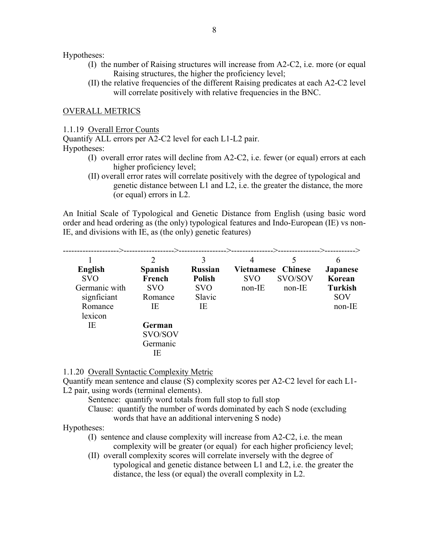Hypotheses:

- (I) the number of Raising structures will increase from A2-C2, i.e. more (or equal Raising structures, the higher the proficiency level;
- (II) the relative frequencies of the different Raising predicates at each A2-C2 level will correlate positively with relative frequencies in the BNC.

#### OVERALL METRICS

1.1.19 Overall Error Counts

Quantify ALL errors per A2-C2 level for each L1-L2 pair.

# Hypotheses:

- (I) overall error rates will decline from A2-C2, i.e. fewer (or equal) errors at each higher proficiency level;
- (II) overall error rates will correlate positively with the degree of typological and genetic distance between L1 and L2, i.e. the greater the distance, the more (or equal) errors in L2.

An Initial Scale of Typological and Genetic Distance from English (using basic word order and head ordering as (the only) typological features and Indo-European (IE) vs non-IE, and divisions with IE, as (the only) genetic features)

|                | -->--<br>$\mathfrak{D}$ | 3              | ----------->---------------->----- | .__________>_. | h               |
|----------------|-------------------------|----------------|------------------------------------|----------------|-----------------|
| <b>English</b> | <b>Spanish</b>          | <b>Russian</b> | <b>Vietnamese Chinese</b>          |                | <b>Japanese</b> |
| <b>SVO</b>     | French                  | <b>Polish</b>  | <b>SVO</b>                         | SVO/SOV        | Korean          |
| Germanic with  | <b>SVO</b>              | <b>SVO</b>     | $non-IE$                           | non-IE         | <b>Turkish</b>  |
| signficiant    | Romance                 | Slavic         |                                    |                | <b>SOV</b>      |
| Romance        | ΙE                      | IE             |                                    |                | non-IE          |
| lexicon        |                         |                |                                    |                |                 |
| IΕ             | German                  |                |                                    |                |                 |
|                | SVO/SOV                 |                |                                    |                |                 |
|                | Germanic                |                |                                    |                |                 |
|                | IE                      |                |                                    |                |                 |

1.1.20 Overall Syntactic Complexity Metric

Quantify mean sentence and clause (S) complexity scores per A2-C2 level for each L1- L2 pair, using words (terminal elements).

Sentence: quantify word totals from full stop to full stop

 Clause: quantify the number of words dominated by each S node (excluding words that have an additional intervening S node)

Hypotheses:

- (I) sentence and clause complexity will increase from A2-C2, i.e. the mean complexity will be greater (or equal) for each higher proficiency level;
- (II) overall complexity scores will correlate inversely with the degree of typological and genetic distance between L1 and L2, i.e. the greater the distance, the less (or equal) the overall complexity in L2.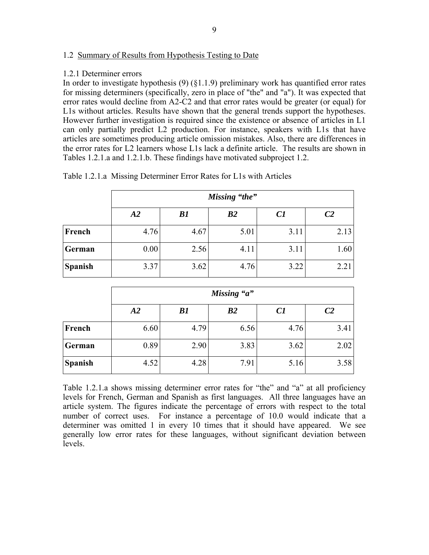### 1.2 Summary of Results from Hypothesis Testing to Date

### 1.2.1 Determiner errors

In order to investigate hypothesis (9) (§1.1.9) preliminary work has quantified error rates for missing determiners (specifically, zero in place of "the" and "a"). It was expected that error rates would decline from A2-C2 and that error rates would be greater (or equal) for L1s without articles. Results have shown that the general trends support the hypotheses. However further investigation is required since the existence or absence of articles in L1 can only partially predict L2 production. For instance, speakers with L1s that have articles are sometimes producing article omission mistakes. Also, there are differences in the error rates for L2 learners whose L1s lack a definite article. The results are shown in Tables 1.2.1.a and 1.2.1.b. These findings have motivated subproject 1.2.

|                | Missing "the" |      |      |      |                |  |
|----------------|---------------|------|------|------|----------------|--|
|                | A2            | B1   | B2   | C1   | C <sub>2</sub> |  |
| French         | 4.76          | 4.67 | 5.01 | 3.11 | 2.13           |  |
| German         | 0.00          | 2.56 | 4.11 | 3.11 | 1.60           |  |
| <b>Spanish</b> | 3.37          | 3.62 | 4.76 | 3.22 | 2.21           |  |

Table 1.2.1.a Missing Determiner Error Rates for L1s with Articles

|                | Missing "a"     |      |      |      |                |  |
|----------------|-----------------|------|------|------|----------------|--|
|                | $\overline{A2}$ | B1   | B2   | C1   | C <sub>2</sub> |  |
| French         | 6.60            | 4.79 | 6.56 | 4.76 | 3.41           |  |
| German         | 0.89            | 2.90 | 3.83 | 3.62 | 2.02           |  |
| <b>Spanish</b> | 4.52            | 4.28 | 7.91 | 5.16 | 3.58           |  |

Table 1.2.1.a shows missing determiner error rates for "the" and "a" at all proficiency levels for French, German and Spanish as first languages. All three languages have an article system. The figures indicate the percentage of errors with respect to the total number of correct uses. For instance a percentage of 10.0 would indicate that a determiner was omitted 1 in every 10 times that it should have appeared. We see generally low error rates for these languages, without significant deviation between levels.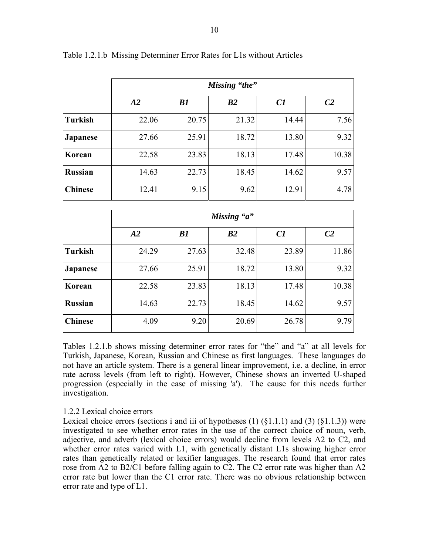|                | Missing "the"   |       |       |       |                |  |
|----------------|-----------------|-------|-------|-------|----------------|--|
|                | $\overline{A2}$ | B1    | B2    | C1    | C <sub>2</sub> |  |
| <b>Turkish</b> | 22.06           | 20.75 | 21.32 | 14.44 | 7.56           |  |
| Japanese       | 27.66           | 25.91 | 18.72 | 13.80 | 9.32           |  |
| Korean         | 22.58           | 23.83 | 18.13 | 17.48 | 10.38          |  |
| <b>Russian</b> | 14.63           | 22.73 | 18.45 | 14.62 | 9.57           |  |
| <b>Chinese</b> | 12.41           | 9.15  | 9.62  | 12.91 | 4.78           |  |

Table 1.2.1.b Missing Determiner Error Rates for L1s without Articles

|                | Missing "a" |       |       |       |                |  |
|----------------|-------------|-------|-------|-------|----------------|--|
|                | A2          | B1    | B2    | C1    | C <sub>2</sub> |  |
| <b>Turkish</b> | 24.29       | 27.63 | 32.48 | 23.89 | 11.86          |  |
| Japanese       | 27.66       | 25.91 | 18.72 | 13.80 | 9.32           |  |
| Korean         | 22.58       | 23.83 | 18.13 | 17.48 | 10.38          |  |
| <b>Russian</b> | 14.63       | 22.73 | 18.45 | 14.62 | 9.57           |  |
| <b>Chinese</b> | 4.09        | 9.20  | 20.69 | 26.78 | 9.79           |  |

Tables 1.2.1.b shows missing determiner error rates for "the" and "a" at all levels for Turkish, Japanese, Korean, Russian and Chinese as first languages. These languages do not have an article system. There is a general linear improvement, i.e. a decline, in error rate across levels (from left to right). However, Chinese shows an inverted U-shaped progression (especially in the case of missing 'a'). The cause for this needs further investigation.

### 1.2.2 Lexical choice errors

Lexical choice errors (sections i and iii of hypotheses  $(1)$   $(81.1.1)$  and  $(3)$   $(81.1.3)$ ) were investigated to see whether error rates in the use of the correct choice of noun, verb, adjective, and adverb (lexical choice errors) would decline from levels A2 to C2, and whether error rates varied with L1, with genetically distant L1s showing higher error rates than genetically related or lexifier languages. The research found that error rates rose from A2 to B2/C1 before falling again to C2. The C2 error rate was higher than A2 error rate but lower than the C1 error rate. There was no obvious relationship between error rate and type of L1.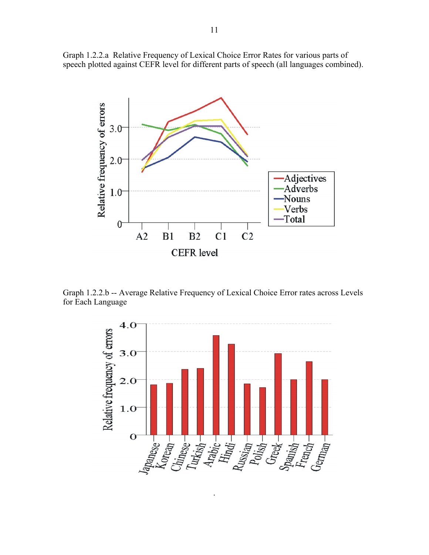Graph 1.2.2.a Relative Frequency of Lexical Choice Error Rates for various parts of speech plotted against CEFR level for different parts of speech (all languages combined).



Graph 1.2.2.b -- Average Relative Frequency of Lexical Choice Error rates across Levels for Each Language



.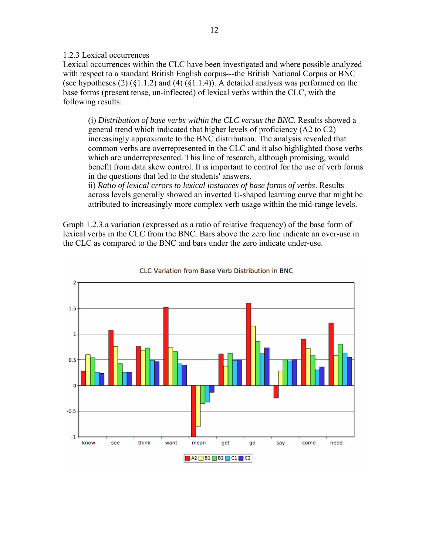1.2.3 Lexical occurrences

Lexical occurrences within the CLC have been investigated and where possible analyzed with respect to a standard British English corpus---the British National Corpus or BNC (see hypotheses  $(2)$   $(\S1.1.2)$  and  $(4)$   $(\S1.1.4)$ ). A detailed analysis was performed on the base forms (present tense, un-inflected) of lexical verbs within the CLC, with the following results:

 (i) *Distribution of base verbs within the CLC versus the BNC*. Results showed a general trend which indicated that higher levels of proficiency (A2 to C2) increasingly approximate to the BNC distribution. The analysis revealed that common verbs are overrepresented in the CLC and it also highlighted those verbs which are underrepresented. This line of research, although promising, would benefit from data skew control. It is important to control for the use of verb forms in the questions that led to the students' answers.

 ii) *Ratio of lexical errors to lexical instances of base forms of verbs*. Results across levels generally showed an inverted U-shaped learning curve that might be attributed to increasingly more complex verb usage within the mid-range levels.

Graph 1.2.3.a variation (expressed as a ratio of relative frequency) of the base form of lexical verbs in the CLC from the BNC. Bars above the zero line indicate an over-use in the CLC as compared to the BNC and bars under the zero indicate under-use.



CLC Variation from Base Verb Distribution in BNC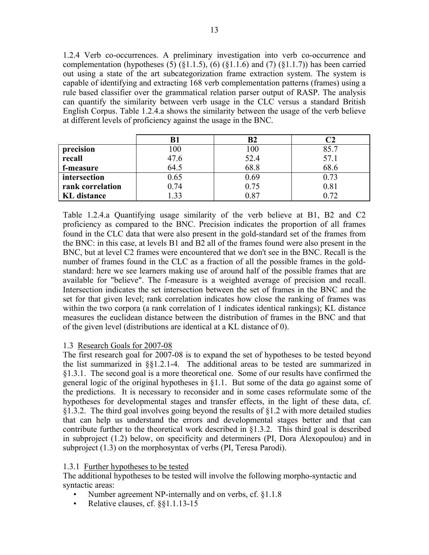1.2.4 Verb co-occurrences. A preliminary investigation into verb co-occurrence and complementation (hypotheses  $(5)$   $(\S1.1.5)$ ,  $(6)$   $(\S1.1.6)$  and  $(7)$   $(\S1.1.7)$ ) has been carried out using a state of the art subcategorization frame extraction system. The system is capable of identifying and extracting 168 verb complementation patterns (frames) using a rule based classifier over the grammatical relation parser output of RASP. The analysis can quantify the similarity between verb usage in the CLC versus a standard British English Corpus. Table 1.2.4.a shows the similarity between the usage of the verb believe at different levels of proficiency against the usage in the BNC.

|                    | B1   | $_{\rm B2}$ |      |
|--------------------|------|-------------|------|
| precision          | 100  | 100         | 85.7 |
| recall             | 47.6 | 52.4        | 57.1 |
| f-measure          | 64.5 | 68.8        | 68.6 |
| intersection       | 0.65 | 0.69        | 0.73 |
| rank correlation   | 0.74 | 0.75        | 0.81 |
| <b>KL</b> distance | .33  | 0.87        | 0.72 |

Table 1.2.4.a Quantifying usage similarity of the verb believe at B1, B2 and C2 proficiency as compared to the BNC. Precision indicates the proportion of all frames found in the CLC data that were also present in the gold-standard set of the frames from the BNC: in this case, at levels B1 and B2 all of the frames found were also present in the BNC, but at level C2 frames were encountered that we don't see in the BNC. Recall is the number of frames found in the CLC as a fraction of all the possible frames in the goldstandard: here we see learners making use of around half of the possible frames that are available for "believe". The f-measure is a weighted average of precision and recall. Intersection indicates the set intersection between the set of frames in the BNC and the set for that given level; rank correlation indicates how close the ranking of frames was within the two corpora (a rank correlation of 1 indicates identical rankings); KL distance measures the euclidean distance between the distribution of frames in the BNC and that of the given level (distributions are identical at a KL distance of 0).

## 1.3 Research Goals for 2007-08

The first research goal for 2007-08 is to expand the set of hypotheses to be tested beyond the list summarized in §§1.2.1-4. The additional areas to be tested are summarized in §1.3.1. The second goal is a more theoretical one. Some of our results have confirmed the general logic of the original hypotheses in  $\S$ 1.1. But some of the data go against some of the predictions. It is necessary to reconsider and in some cases reformulate some of the hypotheses for developmental stages and transfer effects, in the light of these data, cf. §1.3.2. The third goal involves going beyond the results of §1.2 with more detailed studies that can help us understand the errors and developmental stages better and that can contribute further to the theoretical work described in §1.3.2. This third goal is described in subproject (1.2) below, on specificity and determiners (PI, Dora Alexopoulou) and in subproject (1.3) on the morphosyntax of verbs (PI, Teresa Parodi).

### 1.3.1 Further hypotheses to be tested

The additional hypotheses to be tested will involve the following morpho-syntactic and syntactic areas:

- Number agreement NP-internally and on verbs, cf. §1.1.8
- Relative clauses, cf. §§1.1.13-15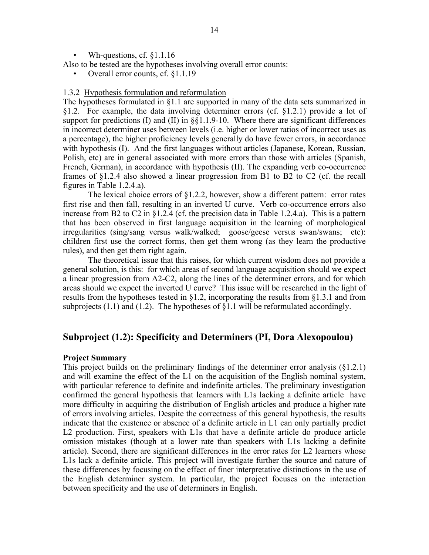Wh-questions, cf. §1.1.16

Also to be tested are the hypotheses involving overall error counts:

• Overall error counts, cf. §1.1.19

### 1.3.2 Hypothesis formulation and reformulation

The hypotheses formulated in §1.1 are supported in many of the data sets summarized in §1.2. For example, the data involving determiner errors (cf. §1.2.1) provide a lot of support for predictions (I) and (II) in  $\S$ 1.1.9-10. Where there are significant differences in incorrect determiner uses between levels (i.e. higher or lower ratios of incorrect uses as a percentage), the higher proficiency levels generally do have fewer errors, in accordance with hypothesis (I). And the first languages without articles (Japanese, Korean, Russian, Polish, etc) are in general associated with more errors than those with articles (Spanish, French, German), in accordance with hypothesis (II). The expanding verb co-occurrence frames of §1.2.4 also showed a linear progression from B1 to B2 to C2 (cf. the recall figures in Table 1.2.4.a).

The lexical choice errors of  $\S1.2.2$ , however, show a different pattern: error rates first rise and then fall, resulting in an inverted U curve. Verb co-occurrence errors also increase from B2 to C2 in  $\S 1.2.4$  (cf. the precision data in Table 1.2.4.a). This is a pattern that has been observed in first language acquisition in the learning of morphological irregularities (sing/sang versus walk/walked; goose/geese versus swan/swans; etc): children first use the correct forms, then get them wrong (as they learn the productive rules), and then get them right again.

 The theoretical issue that this raises, for which current wisdom does not provide a general solution, is this: for which areas of second language acquisition should we expect a linear progression from A2-C2, along the lines of the determiner errors, and for which areas should we expect the inverted U curve? This issue will be researched in the light of results from the hypotheses tested in §1.2, incorporating the results from §1.3.1 and from subprojects  $(1.1)$  and  $(1.2)$ . The hypotheses of §1.1 will be reformulated accordingly.

### **Subproject (1.2): Specificity and Determiners (PI, Dora Alexopoulou)**

### **Project Summary**

This project builds on the preliminary findings of the determiner error analysis (§1.2.1) and will examine the effect of the L1 on the acquisition of the English nominal system, with particular reference to definite and indefinite articles. The preliminary investigation confirmed the general hypothesis that learners with L1s lacking a definite article have more difficulty in acquiring the distribution of English articles and produce a higher rate of errors involving articles. Despite the correctness of this general hypothesis, the results indicate that the existence or absence of a definite article in L1 can only partially predict L2 production. First, speakers with L1s that have a definite article do produce article omission mistakes (though at a lower rate than speakers with L1s lacking a definite article). Second, there are significant differences in the error rates for L2 learners whose L1s lack a definite article. This project will investigate further the source and nature of these differences by focusing on the effect of finer interpretative distinctions in the use of the English determiner system. In particular, the project focuses on the interaction between specificity and the use of determiners in English.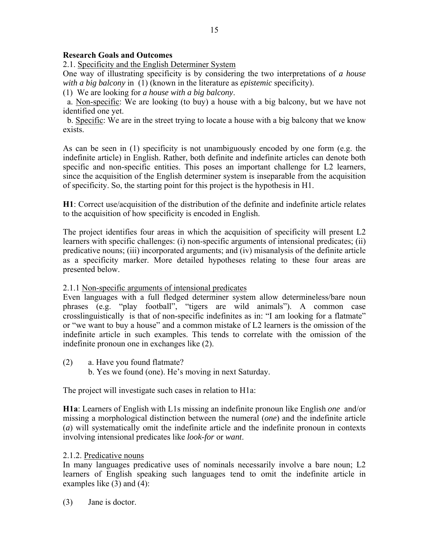## **Research Goals and Outcomes**

2.1. Specificity and the English Determiner System

One way of illustrating specificity is by considering the two interpretations of *a house with a big balcony* in (1) (known in the literature as *epistemic* specificity).

(1) We are looking for *a house with a big balcony*.

 a. Non-specific: We are looking (to buy) a house with a big balcony, but we have not identified one yet.

 b. Specific: We are in the street trying to locate a house with a big balcony that we know exists.

As can be seen in (1) specificity is not unambiguously encoded by one form (e.g. the indefinite article) in English. Rather, both definite and indefinite articles can denote both specific and non-specific entities. This poses an important challenge for L2 learners, since the acquisition of the English determiner system is inseparable from the acquisition of specificity. So, the starting point for this project is the hypothesis in H1.

**H1**: Correct use/acquisition of the distribution of the definite and indefinite article relates to the acquisition of how specificity is encoded in English.

The project identifies four areas in which the acquisition of specificity will present L2 learners with specific challenges: (i) non-specific arguments of intensional predicates; (ii) predicative nouns; (iii) incorporated arguments; and (iv) misanalysis of the definite article as a specificity marker. More detailed hypotheses relating to these four areas are presented below.

### 2.1.1 Non-specific arguments of intensional predicates

Even languages with a full fledged determiner system allow determineless/bare noun phrases (e.g. "play football", "tigers are wild animals"). A common case crosslinguistically is that of non-specific indefinites as in: "I am looking for a flatmate" or "we want to buy a house" and a common mistake of L2 learners is the omission of the indefinite article in such examples. This tends to correlate with the omission of the indefinite pronoun one in exchanges like (2).

- (2) a. Have you found flatmate?
	- b. Yes we found (one). He's moving in next Saturday.

The project will investigate such cases in relation to H1a:

**H1a**: Learners of English with L1s missing an indefinite pronoun like English *one* and/or missing a morphological distinction between the numeral (*one*) and the indefinite article (*a*) will systematically omit the indefinite article and the indefinite pronoun in contexts involving intensional predicates like *look-for* or *want*.

### 2.1.2. Predicative nouns

In many languages predicative uses of nominals necessarily involve a bare noun; L2 learners of English speaking such languages tend to omit the indefinite article in examples like (3) and (4):

(3) Jane is doctor.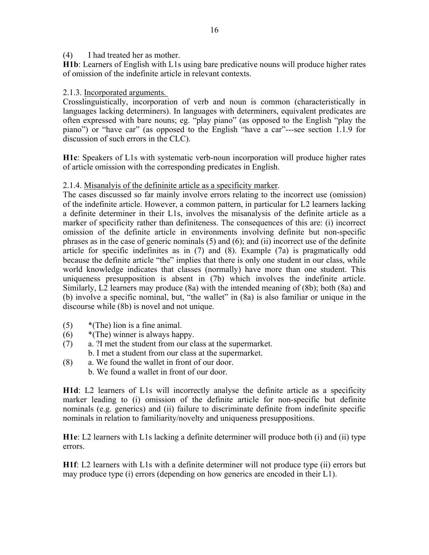### (4) I had treated her as mother.

**H1b**: Learners of English with L1s using bare predicative nouns will produce higher rates of omission of the indefinite article in relevant contexts.

### 2.1.3. Incorporated arguments.

Crosslinguistically, incorporation of verb and noun is common (characteristically in languages lacking determiners). In languages with determiners, equivalent predicates are often expressed with bare nouns; eg. "play piano" (as opposed to the English "play the piano") or "have car" (as opposed to the English "have a car"---see section 1.1.9 for discussion of such errors in the CLC).

**H1c**: Speakers of L1s with systematic verb-noun incorporation will produce higher rates of article omission with the corresponding predicates in English.

### 2.1.4. Misanalyis of the defininite article as a specificity marker.

The cases discussed so far mainly involve errors relating to the incorrect use (omission) of the indefinite article. However, a common pattern, in particular for L2 learners lacking a definite determiner in their L1s, involves the misanalysis of the definite article as a marker of specificity rather than definiteness. The consequences of this are: (i) incorrect omission of the definite article in environments involving definite but non-specific phrases as in the case of generic nominals (5) and (6); and (ii) incorrect use of the definite article for specific indefinites as in (7) and (8). Example (7a) is pragmatically odd because the definite article "the" implies that there is only one student in our class, while world knowledge indicates that classes (normally) have more than one student. This uniqueness presupposition is absent in (7b) which involves the indefinite article. Similarly, L2 learners may produce (8a) with the intended meaning of (8b); both (8a) and (b) involve a specific nominal, but, "the wallet" in (8a) is also familiar or unique in the discourse while (8b) is novel and not unique.

- $(5)$  \*(The) lion is a fine animal.
- $(6)$  \*(The) winner is always happy.
- (7) a. ?I met the student from our class at the supermarket. b. I met a student from our class at the supermarket.
- (8) a. We found the wallet in front of our door.
	- b. We found a wallet in front of our door.

**H1d**: L2 learners of L1s will incorrectly analyse the definite article as a specificity marker leading to (i) omission of the definite article for non-specific but definite nominals (e.g. generics) and (ii) failure to discriminate definite from indefinite specific nominals in relation to familiarity/novelty and uniqueness presuppositions.

**H1e**: L2 learners with L1s lacking a definite determiner will produce both (i) and (ii) type errors.

**H1f**: L2 learners with L1s with a definite determiner will not produce type (ii) errors but may produce type (i) errors (depending on how generics are encoded in their L1).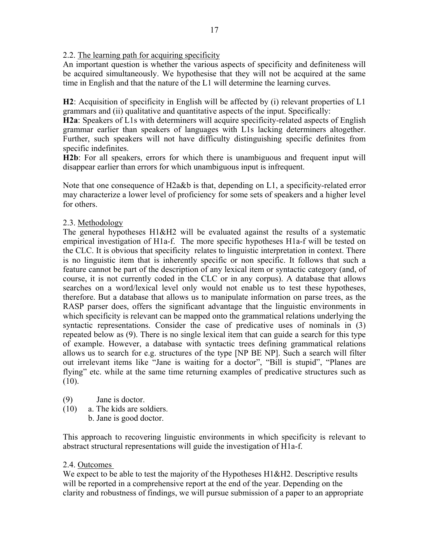2.2. The learning path for acquiring specificity

An important question is whether the various aspects of specificity and definiteness will be acquired simultaneously. We hypothesise that they will not be acquired at the same time in English and that the nature of the L1 will determine the learning curves.

**H2**: Acquisition of specificity in English will be affected by (i) relevant properties of L1 grammars and (ii) qualitative and quantitative aspects of the input. Specifically:

**H2a**: Speakers of L1s with determiners will acquire specificity-related aspects of English grammar earlier than speakers of languages with L1s lacking determiners altogether. Further, such speakers will not have difficulty distinguishing specific definites from specific indefinites.

**H2b**: For all speakers, errors for which there is unambiguous and frequent input will disappear earlier than errors for which unambiguous input is infrequent.

Note that one consequence of H2a&b is that, depending on L1, a specificity-related error may characterize a lower level of proficiency for some sets of speakers and a higher level for others.

## 2.3. Methodology

The general hypotheses H1&H2 will be evaluated against the results of a systematic empirical investigation of H1a-f. The more specific hypotheses H1a-f will be tested on the CLC. It is obvious that specificity relates to linguistic interpretation in context. There is no linguistic item that is inherently specific or non specific. It follows that such a feature cannot be part of the description of any lexical item or syntactic category (and, of course, it is not currently coded in the CLC or in any corpus). A database that allows searches on a word/lexical level only would not enable us to test these hypotheses, therefore. But a database that allows us to manipulate information on parse trees, as the RASP parser does, offers the significant advantage that the linguistic environments in which specificity is relevant can be mapped onto the grammatical relations underlying the syntactic representations. Consider the case of predicative uses of nominals in (3) repeated below as (9). There is no single lexical item that can guide a search for this type of example. However, a database with syntactic trees defining grammatical relations allows us to search for e.g. structures of the type [NP BE NP]. Such a search will filter out irrelevant items like "Jane is waiting for a doctor", "Bill is stupid", "Planes are flying" etc. while at the same time returning examples of predicative structures such as  $(10).$ 

- (9) Jane is doctor.
- (10) a. The kids are soldiers.
	- b. Jane is good doctor.

This approach to recovering linguistic environments in which specificity is relevant to abstract structural representations will guide the investigation of H1a-f.

### 2.4. Outcomes

We expect to be able to test the majority of the Hypotheses H1&H2. Descriptive results will be reported in a comprehensive report at the end of the year. Depending on the clarity and robustness of findings, we will pursue submission of a paper to an appropriate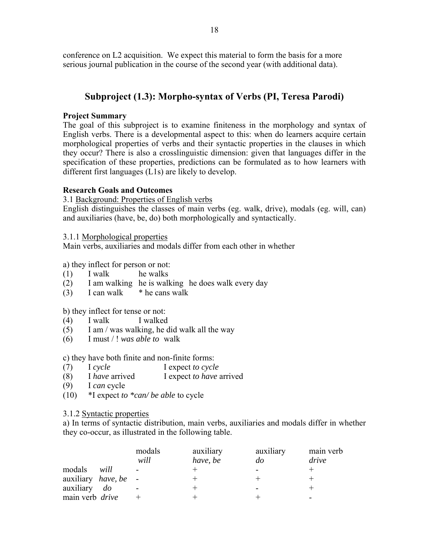conference on L2 acquisition. We expect this material to form the basis for a more serious journal publication in the course of the second year (with additional data).

# **Subproject (1.3): Morpho-syntax of Verbs (PI, Teresa Parodi)**

## **Project Summary**

The goal of this subproject is to examine finiteness in the morphology and syntax of English verbs. There is a developmental aspect to this: when do learners acquire certain morphological properties of verbs and their syntactic properties in the clauses in which they occur? There is also a crosslinguistic dimension: given that languages differ in the specification of these properties, predictions can be formulated as to how learners with different first languages (L1s) are likely to develop.

## **Research Goals and Outcomes**

3.1 Background: Properties of English verbs

English distinguishes the classes of main verbs (eg. walk, drive), modals (eg. will, can) and auxiliaries (have, be, do) both morphologically and syntactically.

### 3.1.1 Morphological properties

Main verbs, auxiliaries and modals differ from each other in whether

a) they inflect for person or not:

- $(1)$  I walk he walks
- (2) I am walking he is walking he does walk every day
- (3) I can walk  $*$  he cans walk

### b) they inflect for tense or not:

- (4) I walk I walked
- (5) I am / was walking, he did walk all the way
- (6) I must / ! *was able to* walk

### c) they have both finite and non-finite forms:

- (7) I *cycle* I expect *to cycle*
- (8) I *have* arrived I expect *to have* arrived
- (9) I *can* cycle
- (10) \*I expect *to \*can/ be able* to cycle

### 3.1.2 Syntactic properties

a) In terms of syntactic distribution, main verbs, auxiliaries and modals differ in whether they co-occur, as illustrated in the following table.

|                                     |           | modals | auxiliary | auxiliary | main verb |
|-------------------------------------|-----------|--------|-----------|-----------|-----------|
|                                     |           | will   | have, be  | do        | drive     |
| modals                              | will      |        |           |           |           |
| auxiliary <i>have</i> , <i>be</i> - |           |        |           |           |           |
| auxiliary                           | $d\sigma$ |        |           |           |           |
| main verb drive                     |           |        |           |           |           |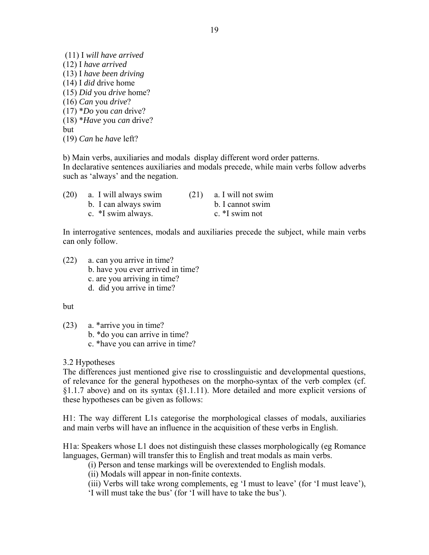(11) I *will have arrived*  (12) I *have arrived*  (13) I *have been driving*  (14) I *did* drive home (15) *Did* you *drive* home? (16) *Can* you *drive*? (17) \**Do* you *can* drive? (18) \**Have* you *can* drive? but (19) *Can* he *have* left?

b) Main verbs, auxiliaries and modals display different word order patterns. In declarative sentences auxiliaries and modals precede, while main verbs follow adverbs such as 'always' and the negation.

| (20) | a. I will always swim | (21) | a. I will not swim |
|------|-----------------------|------|--------------------|
|      | b. I can always swim  |      | b. I cannot swim   |
|      | c. *I swim always.    |      | c. $*$ I swim not  |

In interrogative sentences, modals and auxiliaries precede the subject, while main verbs can only follow.

(22) a. can you arrive in time? b. have you ever arrived in time? c. are you arriving in time? d. did you arrive in time?

but

- (23) a. \*arrive you in time?
	- b. \*do you can arrive in time?
		- c. \*have you can arrive in time?

3.2 Hypotheses

The differences just mentioned give rise to crosslinguistic and developmental questions, of relevance for the general hypotheses on the morpho-syntax of the verb complex (cf. §1.1.7 above) and on its syntax (§1.1.11). More detailed and more explicit versions of these hypotheses can be given as follows:

H1: The way different L1s categorise the morphological classes of modals, auxiliaries and main verbs will have an influence in the acquisition of these verbs in English.

H1a: Speakers whose L1 does not distinguish these classes morphologically (eg Romance languages, German) will transfer this to English and treat modals as main verbs.

(i) Person and tense markings will be overextended to English modals.

(ii) Modals will appear in non-finite contexts.

 (iii) Verbs will take wrong complements, eg 'I must to leave' (for 'I must leave'), 'I will must take the bus' (for 'I will have to take the bus').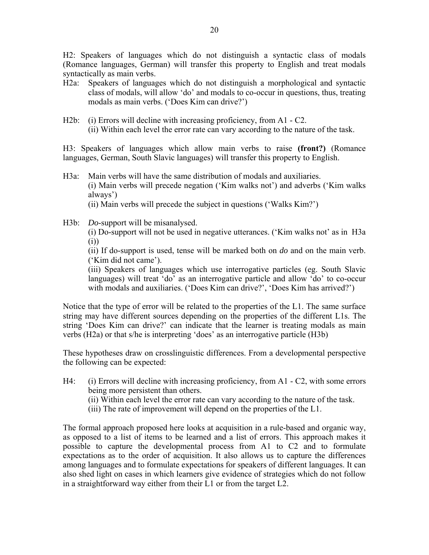H2: Speakers of languages which do not distinguish a syntactic class of modals (Romance languages, German) will transfer this property to English and treat modals syntactically as main verbs.

- H2a: Speakers of languages which do not distinguish a morphological and syntactic class of modals, will allow 'do' and modals to co-occur in questions, thus, treating modals as main verbs. ('Does Kim can drive?')
- H2b: (i) Errors will decline with increasing proficiency, from A1 C2. (ii) Within each level the error rate can vary according to the nature of the task.

H3: Speakers of languages which allow main verbs to raise **(front?)** (Romance languages, German, South Slavic languages) will transfer this property to English.

- H3a: Main verbs will have the same distribution of modals and auxiliaries. (i) Main verbs will precede negation ('Kim walks not') and adverbs ('Kim walks always') (ii) Main verbs will precede the subject in questions ('Walks Kim?')
- H3b: *Do*-support will be misanalysed.

 (i) Do-support will not be used in negative utterances. ('Kim walks not' as in H3a (i))

 (ii) If do-support is used, tense will be marked both on *do* and on the main verb. ('Kim did not came').

 (iii) Speakers of languages which use interrogative particles (eg. South Slavic languages) will treat 'do' as an interrogative particle and allow 'do' to co-occur with modals and auxiliaries. ('Does Kim can drive?', 'Does Kim has arrived?')

Notice that the type of error will be related to the properties of the L1. The same surface string may have different sources depending on the properties of the different L1s. The string 'Does Kim can drive?' can indicate that the learner is treating modals as main verbs (H2a) or that s/he is interpreting 'does' as an interrogative particle (H3b)

These hypotheses draw on crosslinguistic differences. From a developmental perspective the following can be expected:

- H4: (i) Errors will decline with increasing proficiency, from A1 C2, with some errors being more persistent than others.
	- (ii) Within each level the error rate can vary according to the nature of the task.
	- (iii) The rate of improvement will depend on the properties of the L1.

The formal approach proposed here looks at acquisition in a rule-based and organic way, as opposed to a list of items to be learned and a list of errors. This approach makes it possible to capture the developmental process from A1 to C2 and to formulate expectations as to the order of acquisition. It also allows us to capture the differences among languages and to formulate expectations for speakers of different languages. It can also shed light on cases in which learners give evidence of strategies which do not follow in a straightforward way either from their L1 or from the target L2.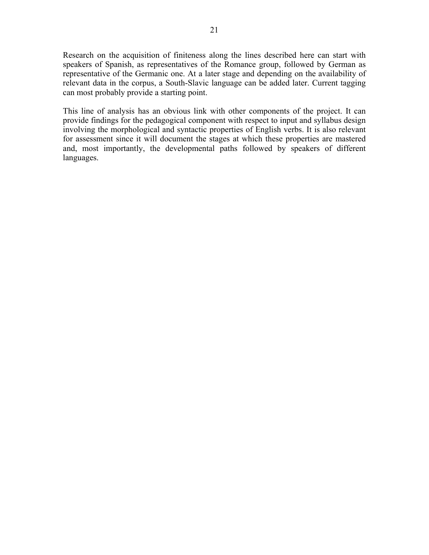Research on the acquisition of finiteness along the lines described here can start with speakers of Spanish, as representatives of the Romance group, followed by German as representative of the Germanic one. At a later stage and depending on the availability of relevant data in the corpus, a South-Slavic language can be added later. Current tagging can most probably provide a starting point.

This line of analysis has an obvious link with other components of the project. It can provide findings for the pedagogical component with respect to input and syllabus design involving the morphological and syntactic properties of English verbs. It is also relevant for assessment since it will document the stages at which these properties are mastered and, most importantly, the developmental paths followed by speakers of different languages.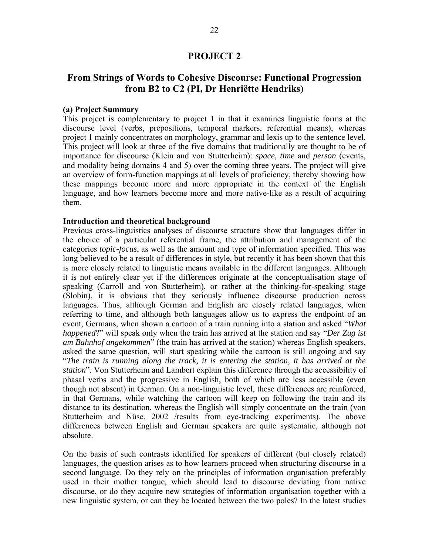### **PROJECT 2**

# **From Strings of Words to Cohesive Discourse: Functional Progression from B2 to C2 (PI, Dr Henriёtte Hendriks)**

#### **(a) Project Summary**

This project is complementary to project 1 in that it examines linguistic forms at the discourse level (verbs, prepositions, temporal markers, referential means), whereas project 1 mainly concentrates on morphology, grammar and lexis up to the sentence level. This project will look at three of the five domains that traditionally are thought to be of importance for discourse (Klein and von Stutterheim): *space, time* and *person* (events, and modality being domains 4 and 5) over the coming three years. The project will give an overview of form-function mappings at all levels of proficiency, thereby showing how these mappings become more and more appropriate in the context of the English language, and how learners become more and more native-like as a result of acquiring them.

### **Introduction and theoretical background**

Previous cross-linguistics analyses of discourse structure show that languages differ in the choice of a particular referential frame, the attribution and management of the categories *topic-focus*, as well as the amount and type of information specified. This was long believed to be a result of differences in style, but recently it has been shown that this is more closely related to linguistic means available in the different languages. Although it is not entirely clear yet if the differences originate at the conceptualisation stage of speaking (Carroll and von Stutterheim), or rather at the thinking-for-speaking stage (Slobin), it is obvious that they seriously influence discourse production across languages. Thus, although German and English are closely related languages, when referring to time, and although both languages allow us to express the endpoint of an event, Germans, when shown a cartoon of a train running into a station and asked "*What happened*?" will speak only when the train has arrived at the station and say "*Der Zug ist am Bahnhof angekommen*" (the train has arrived at the station) whereas English speakers, asked the same question, will start speaking while the cartoon is still ongoing and say "*The train is running along the track, it is entering the station, it has arrived at the station*". Von Stutterheim and Lambert explain this difference through the accessibility of phasal verbs and the progressive in English, both of which are less accessible (even though not absent) in German. On a non-linguistic level, these differences are reinforced, in that Germans, while watching the cartoon will keep on following the train and its distance to its destination, whereas the English will simply concentrate on the train (von Stutterheim and Nüse, 2002 /results from eye-tracking experiments). The above differences between English and German speakers are quite systematic, although not absolute.

On the basis of such contrasts identified for speakers of different (but closely related) languages, the question arises as to how learners proceed when structuring discourse in a second language. Do they rely on the principles of information organisation preferably used in their mother tongue, which should lead to discourse deviating from native discourse, or do they acquire new strategies of information organisation together with a new linguistic system, or can they be located between the two poles? In the latest studies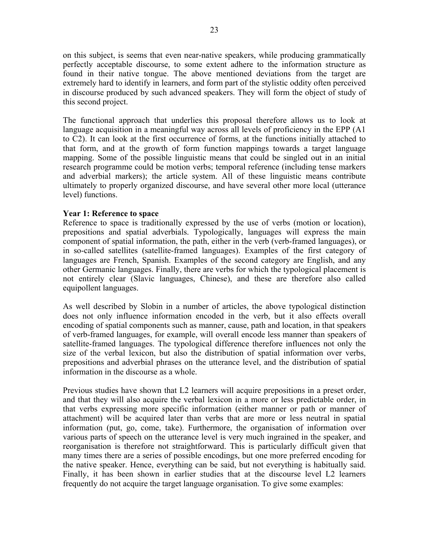on this subject, is seems that even near-native speakers, while producing grammatically perfectly acceptable discourse, to some extent adhere to the information structure as found in their native tongue. The above mentioned deviations from the target are extremely hard to identify in learners, and form part of the stylistic oddity often perceived in discourse produced by such advanced speakers. They will form the object of study of this second project.

The functional approach that underlies this proposal therefore allows us to look at language acquisition in a meaningful way across all levels of proficiency in the EPP (A1 to C2). It can look at the first occurrence of forms, at the functions initially attached to that form, and at the growth of form function mappings towards a target language mapping. Some of the possible linguistic means that could be singled out in an initial research programme could be motion verbs; temporal reference (including tense markers and adverbial markers); the article system. All of these linguistic means contribute ultimately to properly organized discourse, and have several other more local (utterance level) functions.

### **Year 1: Reference to space**

Reference to space is traditionally expressed by the use of verbs (motion or location), prepositions and spatial adverbials. Typologically, languages will express the main component of spatial information, the path, either in the verb (verb-framed languages), or in so-called satellites (satellite-framed languages). Examples of the first category of languages are French, Spanish. Examples of the second category are English, and any other Germanic languages. Finally, there are verbs for which the typological placement is not entirely clear (Slavic languages, Chinese), and these are therefore also called equipollent languages.

As well described by Slobin in a number of articles, the above typological distinction does not only influence information encoded in the verb, but it also effects overall encoding of spatial components such as manner, cause, path and location, in that speakers of verb-framed languages, for example, will overall encode less manner than speakers of satellite-framed languages. The typological difference therefore influences not only the size of the verbal lexicon, but also the distribution of spatial information over verbs, prepositions and adverbial phrases on the utterance level, and the distribution of spatial information in the discourse as a whole.

Previous studies have shown that L2 learners will acquire prepositions in a preset order, and that they will also acquire the verbal lexicon in a more or less predictable order, in that verbs expressing more specific information (either manner or path or manner of attachment) will be acquired later than verbs that are more or less neutral in spatial information (put, go, come, take). Furthermore, the organisation of information over various parts of speech on the utterance level is very much ingrained in the speaker, and reorganisation is therefore not straightforward. This is particularly difficult given that many times there are a series of possible encodings, but one more preferred encoding for the native speaker. Hence, everything can be said, but not everything is habitually said. Finally, it has been shown in earlier studies that at the discourse level L2 learners frequently do not acquire the target language organisation. To give some examples: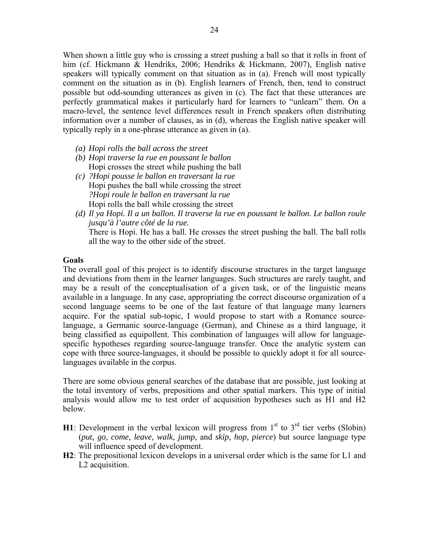When shown a little guy who is crossing a street pushing a ball so that it rolls in front of him (cf. Hickmann & Hendriks, 2006; Hendriks & Hickmann, 2007), English native speakers will typically comment on that situation as in (a). French will most typically comment on the situation as in (b). English learners of French, then, tend to construct possible but odd-sounding utterances as given in (c). The fact that these utterances are perfectly grammatical makes it particularly hard for learners to "unlearn" them. On a macro-level, the sentence level differences result in French speakers often distributing information over a number of clauses, as in (d), whereas the English native speaker will typically reply in a one-phrase utterance as given in (a).

- *(a) Hopi rolls the ball across the street*
- *(b) Hopi traverse la rue en poussant le ballon*  Hopi crosses the street while pushing the ball
- *(c) ?Hopi pousse le ballon en traversant la rue*  Hopi pushes the ball while crossing the street *?Hopi roule le ballon en traversant la rue*  Hopi rolls the ball while crossing the street
- *(d) Il ya Hopi. Il a un ballon. Il traverse la rue en poussant le ballon. Le ballon roule jusqu'à l'autre côté de la rue.*  There is Hopi. He has a ball. He crosses the street pushing the ball. The ball rolls all the way to the other side of the street.

### **Goals**

The overall goal of this project is to identify discourse structures in the target language and deviations from them in the learner languages. Such structures are rarely taught, and may be a result of the conceptualisation of a given task, or of the linguistic means available in a language. In any case, appropriating the correct discourse organization of a second language seems to be one of the last feature of that language many learners acquire. For the spatial sub-topic, I would propose to start with a Romance sourcelanguage, a Germanic source-language (German), and Chinese as a third language, it being classified as equipollent. This combination of languages will allow for languagespecific hypotheses regarding source-language transfer. Once the analytic system can cope with three source-languages, it should be possible to quickly adopt it for all sourcelanguages available in the corpus.

There are some obvious general searches of the database that are possible, just looking at the total inventory of verbs, prepositions and other spatial markers. This type of initial analysis would allow me to test order of acquisition hypotheses such as H1 and H2 below.

- **H1**: Development in the verbal lexicon will progress from  $1<sup>st</sup>$  to  $3<sup>rd</sup>$  tier verbs (Slobin) (*put, go, come*, *leave, walk, jump,* and *skip, hop, pierce*) but source language type will influence speed of development.
- **H2**: The prepositional lexicon develops in a universal order which is the same for L1 and L2 acquisition.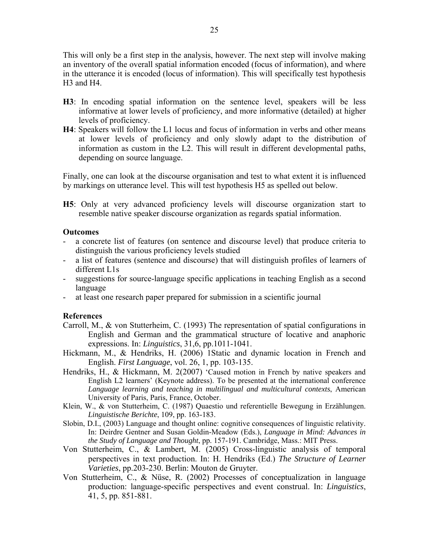This will only be a first step in the analysis, however. The next step will involve making an inventory of the overall spatial information encoded (focus of information), and where in the utterance it is encoded (locus of information). This will specifically test hypothesis H3 and H4.

- **H3**: In encoding spatial information on the sentence level, speakers will be less informative at lower levels of proficiency, and more informative (detailed) at higher levels of proficiency.
- **H4**: Speakers will follow the L1 locus and focus of information in verbs and other means at lower levels of proficiency and only slowly adapt to the distribution of information as custom in the L2. This will result in different developmental paths, depending on source language.

Finally, one can look at the discourse organisation and test to what extent it is influenced by markings on utterance level. This will test hypothesis H5 as spelled out below.

**H5**: Only at very advanced proficiency levels will discourse organization start to resemble native speaker discourse organization as regards spatial information.

### **Outcomes**

- a concrete list of features (on sentence and discourse level) that produce criteria to distinguish the various proficiency levels studied
- a list of features (sentence and discourse) that will distinguish profiles of learners of different L1s
- suggestions for source-language specific applications in teaching English as a second language
- at least one research paper prepared for submission in a scientific journal

### **References**

- Carroll, M., & von Stutterheim, C. (1993) The representation of spatial configurations in English and German and the grammatical structure of locative and anaphoric expressions. In: *Linguistics*, 31,6, pp.1011-1041.
- Hickmann, M., & Hendriks, H. (2006) 1Static and dynamic location in French and English. *First Language*, vol. 26, 1, pp. 103-135.
- Hendriks, H., & Hickmann, M. 2(2007) 'Caused motion in French by native speakers and English L2 learners' (Keynote address). To be presented at the international conference *Language learning and teaching in multilingual and multicultural contexts*, American University of Paris, Paris, France, October.
- Klein, W., & von Stutterheim, C. (1987) Quaestio und referentielle Bewegung in Erzählungen. *Linguistische Berichte*, 109, pp. 163-183.
- Slobin, D.I., (2003) Language and thought online: cognitive consequences of linguistic relativity. In: Deirdre Gentner and Susan Goldin-Meadow (Eds.), *Language in Mind: Advances in the Study of Language and Thought*, pp. 157-191. Cambridge, Mass.: MIT Press.
- Von Stutterheim, C., & Lambert, M. (2005) Cross-linguistic analysis of temporal perspectives in text production. In: H. Hendriks (Ed.) *The Structure of Learner Varieties*, pp.203-230. Berlin: Mouton de Gruyter.
- Von Stutterheim, C., & Nüse, R. (2002) Processes of conceptualization in language production: language-specific perspectives and event construal. In: *Linguistics*, 41, 5, pp. 851-881.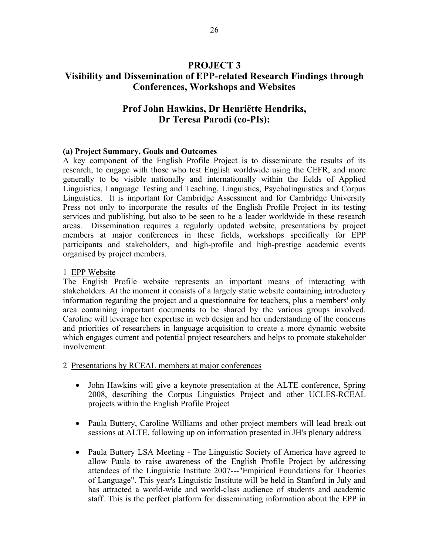# **PROJECT 3 Visibility and Dissemination of EPP-related Research Findings through Conferences, Workshops and Websites**

# **Prof John Hawkins, Dr Henriёtte Hendriks, Dr Teresa Parodi (co-PIs):**

### **(a) Project Summary, Goals and Outcomes**

A key component of the English Profile Project is to disseminate the results of its research, to engage with those who test English worldwide using the CEFR, and more generally to be visible nationally and internationally within the fields of Applied Linguistics, Language Testing and Teaching, Linguistics, Psycholinguistics and Corpus Linguistics. It is important for Cambridge Assessment and for Cambridge University Press not only to incorporate the results of the English Profile Project in its testing services and publishing, but also to be seen to be a leader worldwide in these research areas. Dissemination requires a regularly updated website, presentations by project members at major conferences in these fields, workshops specifically for EPP participants and stakeholders, and high-profile and high-prestige academic events organised by project members.

### 1 EPP Website

The English Profile website represents an important means of interacting with stakeholders. At the moment it consists of a largely static website containing introductory information regarding the project and a questionnaire for teachers, plus a members' only area containing important documents to be shared by the various groups involved. Caroline will leverage her expertise in web design and her understanding of the concerns and priorities of researchers in language acquisition to create a more dynamic website which engages current and potential project researchers and helps to promote stakeholder involvement.

2 Presentations by RCEAL members at major conferences

- John Hawkins will give a keynote presentation at the ALTE conference, Spring 2008, describing the Corpus Linguistics Project and other UCLES-RCEAL projects within the English Profile Project
- Paula Buttery, Caroline Williams and other project members will lead break-out sessions at ALTE, following up on information presented in JH's plenary address
- Paula Buttery LSA Meeting The Linguistic Society of America have agreed to allow Paula to raise awareness of the English Profile Project by addressing attendees of the Linguistic Institute 2007---"Empirical Foundations for Theories of Language". This year's Linguistic Institute will be held in Stanford in July and has attracted a world-wide and world-class audience of students and academic staff. This is the perfect platform for disseminating information about the EPP in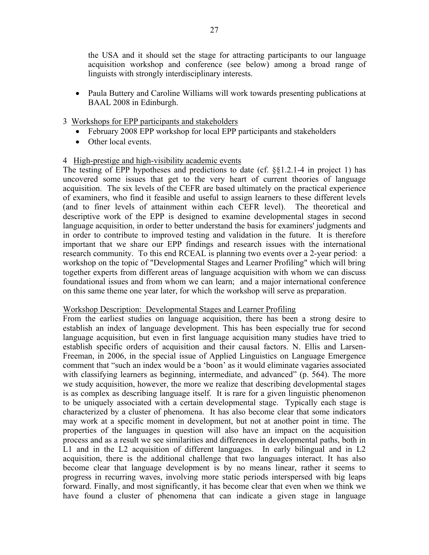the USA and it should set the stage for attracting participants to our language acquisition workshop and conference (see below) among a broad range of linguists with strongly interdisciplinary interests.

• Paula Buttery and Caroline Williams will work towards presenting publications at BAAL 2008 in Edinburgh.

## 3 Workshops for EPP participants and stakeholders

- February 2008 EPP workshop for local EPP participants and stakeholders
- Other local events.

### 4 High-prestige and high-visibility academic events

The testing of EPP hypotheses and predictions to date (cf. §§1.2.1-4 in project 1) has uncovered some issues that get to the very heart of current theories of language acquisition. The six levels of the CEFR are based ultimately on the practical experience of examiners, who find it feasible and useful to assign learners to these different levels (and to finer levels of attainment within each CEFR level). The theoretical and descriptive work of the EPP is designed to examine developmental stages in second language acquisition, in order to better understand the basis for examiners' judgments and in order to contribute to improved testing and validation in the future. It is therefore important that we share our EPP findings and research issues with the international research community. To this end RCEAL is planning two events over a 2-year period: a workshop on the topic of "Developmental Stages and Learner Profiling" which will bring together experts from different areas of language acquisition with whom we can discuss foundational issues and from whom we can learn; and a major international conference on this same theme one year later, for which the workshop will serve as preparation.

### Workshop Description: Developmental Stages and Learner Profiling

From the earliest studies on language acquisition, there has been a strong desire to establish an index of language development. This has been especially true for second language acquisition, but even in first language acquisition many studies have tried to establish specific orders of acquisition and their causal factors. N. Ellis and Larsen-Freeman, in 2006, in the special issue of Applied Linguistics on Language Emergence comment that "such an index would be a 'boon' as it would eliminate vagaries associated with classifying learners as beginning, intermediate, and advanced" (p. 564). The more we study acquisition, however, the more we realize that describing developmental stages is as complex as describing language itself. It is rare for a given linguistic phenomenon to be uniquely associated with a certain developmental stage. Typically each stage is characterized by a cluster of phenomena. It has also become clear that some indicators may work at a specific moment in development, but not at another point in time. The properties of the languages in question will also have an impact on the acquisition process and as a result we see similarities and differences in developmental paths, both in L1 and in the L2 acquisition of different languages. In early bilingual and in L2 acquisition, there is the additional challenge that two languages interact. It has also become clear that language development is by no means linear, rather it seems to progress in recurring waves, involving more static periods interspersed with big leaps forward. Finally, and most significantly, it has become clear that even when we think we have found a cluster of phenomena that can indicate a given stage in language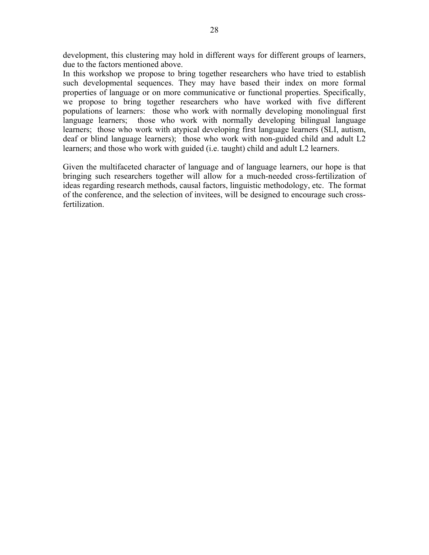development, this clustering may hold in different ways for different groups of learners, due to the factors mentioned above.

In this workshop we propose to bring together researchers who have tried to establish such developmental sequences. They may have based their index on more formal properties of language or on more communicative or functional properties. Specifically, we propose to bring together researchers who have worked with five different populations of learners: those who work with normally developing monolingual first language learners; those who work with normally developing bilingual language learners; those who work with atypical developing first language learners (SLI, autism, deaf or blind language learners); those who work with non-guided child and adult L2 learners; and those who work with guided (i.e. taught) child and adult L2 learners.

Given the multifaceted character of language and of language learners, our hope is that bringing such researchers together will allow for a much-needed cross-fertilization of ideas regarding research methods, causal factors, linguistic methodology, etc. The format of the conference, and the selection of invitees, will be designed to encourage such crossfertilization.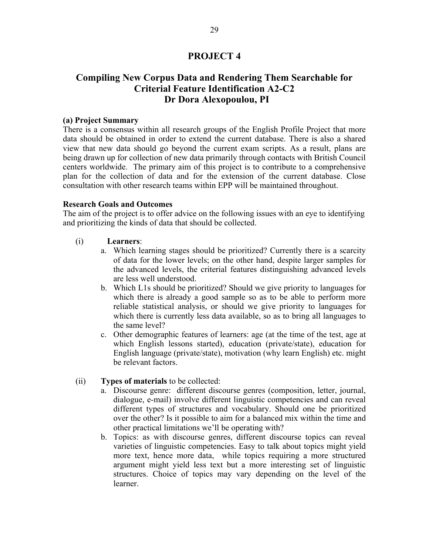# **PROJECT 4**

# **Compiling New Corpus Data and Rendering Them Searchable for Criterial Feature Identification A2-C2 Dr Dora Alexopoulou, PI**

#### **(a) Project Summary**

There is a consensus within all research groups of the English Profile Project that more data should be obtained in order to extend the current database. There is also a shared view that new data should go beyond the current exam scripts. As a result, plans are being drawn up for collection of new data primarily through contacts with British Council centers worldwide. The primary aim of this project is to contribute to a comprehensive plan for the collection of data and for the extension of the current database. Close consultation with other research teams within EPP will be maintained throughout.

#### **Research Goals and Outcomes**

The aim of the project is to offer advice on the following issues with an eye to identifying and prioritizing the kinds of data that should be collected.

- (i) **Learners**:
	- a. Which learning stages should be prioritized? Currently there is a scarcity of data for the lower levels; on the other hand, despite larger samples for the advanced levels, the criterial features distinguishing advanced levels are less well understood.
	- b. Which L1s should be prioritized? Should we give priority to languages for which there is already a good sample so as to be able to perform more reliable statistical analysis, or should we give priority to languages for which there is currently less data available, so as to bring all languages to the same level?
	- c. Other demographic features of learners: age (at the time of the test, age at which English lessons started), education (private/state), education for English language (private/state), motivation (why learn English) etc. might be relevant factors.

### (ii) **Types of materials** to be collected:

- a. Discourse genre: different discourse genres (composition, letter, journal, dialogue, e-mail) involve different linguistic competencies and can reveal different types of structures and vocabulary. Should one be prioritized over the other? Is it possible to aim for a balanced mix within the time and other practical limitations we'll be operating with?
- b. Topics: as with discourse genres, different discourse topics can reveal varieties of linguistic competencies. Easy to talk about topics might yield more text, hence more data, while topics requiring a more structured argument might yield less text but a more interesting set of linguistic structures. Choice of topics may vary depending on the level of the learner.